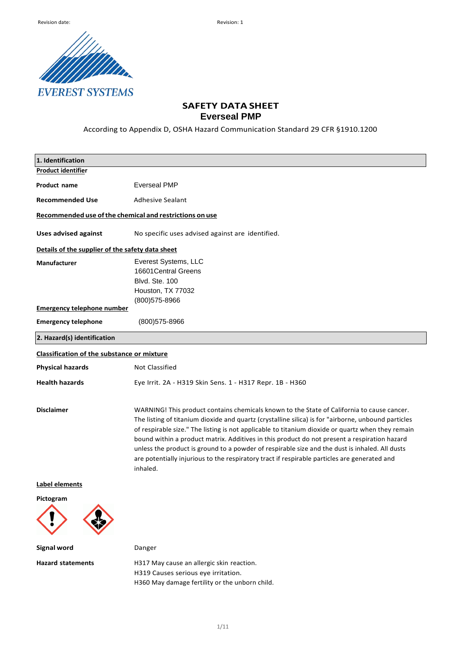

# **SAFETY DATA SHEET Everseal PMP**

According to Appendix D, OSHA Hazard Communication Standard 29 CFR §1910.1200

| 1. Identification                                       |                                                                                                                                                                                                                                                                                                                                                                                                                                                                                                                                                                                                                      |
|---------------------------------------------------------|----------------------------------------------------------------------------------------------------------------------------------------------------------------------------------------------------------------------------------------------------------------------------------------------------------------------------------------------------------------------------------------------------------------------------------------------------------------------------------------------------------------------------------------------------------------------------------------------------------------------|
| <b>Product identifier</b>                               |                                                                                                                                                                                                                                                                                                                                                                                                                                                                                                                                                                                                                      |
| Product name                                            | <b>Everseal PMP</b>                                                                                                                                                                                                                                                                                                                                                                                                                                                                                                                                                                                                  |
| <b>Recommended Use</b>                                  | <b>Adhesive Sealant</b>                                                                                                                                                                                                                                                                                                                                                                                                                                                                                                                                                                                              |
| Recommended use of the chemical and restrictions on use |                                                                                                                                                                                                                                                                                                                                                                                                                                                                                                                                                                                                                      |
| <b>Uses advised against</b>                             | No specific uses advised against are identified.                                                                                                                                                                                                                                                                                                                                                                                                                                                                                                                                                                     |
| Details of the supplier of the safety data sheet        |                                                                                                                                                                                                                                                                                                                                                                                                                                                                                                                                                                                                                      |
| Manufacturer                                            | Everest Systems, LLC                                                                                                                                                                                                                                                                                                                                                                                                                                                                                                                                                                                                 |
|                                                         | 16601 Central Greens                                                                                                                                                                                                                                                                                                                                                                                                                                                                                                                                                                                                 |
|                                                         | Blvd. Ste. 100                                                                                                                                                                                                                                                                                                                                                                                                                                                                                                                                                                                                       |
|                                                         | Houston, TX 77032                                                                                                                                                                                                                                                                                                                                                                                                                                                                                                                                                                                                    |
|                                                         | (800) 575-8966                                                                                                                                                                                                                                                                                                                                                                                                                                                                                                                                                                                                       |
| <b>Emergency telephone number</b>                       |                                                                                                                                                                                                                                                                                                                                                                                                                                                                                                                                                                                                                      |
| <b>Emergency telephone</b>                              | $(800)$ 575-8966                                                                                                                                                                                                                                                                                                                                                                                                                                                                                                                                                                                                     |
| 2. Hazard(s) identification                             |                                                                                                                                                                                                                                                                                                                                                                                                                                                                                                                                                                                                                      |
| <b>Classification of the substance or mixture</b>       |                                                                                                                                                                                                                                                                                                                                                                                                                                                                                                                                                                                                                      |
| <b>Physical hazards</b>                                 | Not Classified                                                                                                                                                                                                                                                                                                                                                                                                                                                                                                                                                                                                       |
| <b>Health hazards</b>                                   | Eye Irrit. 2A - H319 Skin Sens. 1 - H317 Repr. 1B - H360                                                                                                                                                                                                                                                                                                                                                                                                                                                                                                                                                             |
| <b>Disclaimer</b>                                       | WARNING! This product contains chemicals known to the State of California to cause cancer.<br>The listing of titanium dioxide and quartz (crystalline silica) is for "airborne, unbound particles<br>of respirable size." The listing is not applicable to titanium dioxide or quartz when they remain<br>bound within a product matrix. Additives in this product do not present a respiration hazard<br>unless the product is ground to a powder of respirable size and the dust is inhaled. All dusts<br>are potentially injurious to the respiratory tract if respirable particles are generated and<br>inhaled. |
| Label elements                                          |                                                                                                                                                                                                                                                                                                                                                                                                                                                                                                                                                                                                                      |
| Pictogram                                               |                                                                                                                                                                                                                                                                                                                                                                                                                                                                                                                                                                                                                      |
| <b>Signal word</b>                                      | Danger                                                                                                                                                                                                                                                                                                                                                                                                                                                                                                                                                                                                               |
| <b>Hazard statements</b>                                | H317 May cause an allergic skin reaction.                                                                                                                                                                                                                                                                                                                                                                                                                                                                                                                                                                            |
|                                                         | H319 Causes serious eye irritation.                                                                                                                                                                                                                                                                                                                                                                                                                                                                                                                                                                                  |

H360 May damage fertility or the unborn child.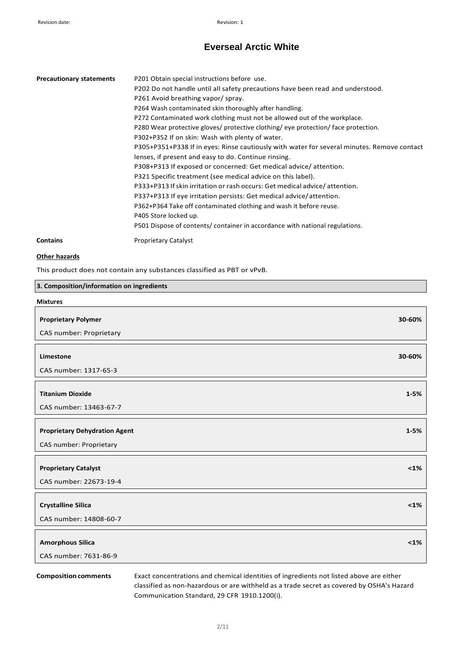| <b>Precautionary statements</b> | P201 Obtain special instructions before use.<br>P202 Do not handle until all safety precautions have been read and understood.<br>P261 Avoid breathing vapor/spray.<br>P264 Wash contaminated skin thoroughly after handling.<br>P272 Contaminated work clothing must not be allowed out of the workplace.<br>P280 Wear protective gloves/ protective clothing/ eye protection/ face protection.<br>P302+P352 If on skin: Wash with plenty of water.<br>P305+P351+P338 If in eyes: Rinse cautiously with water for several minutes. Remove contact<br>lenses, if present and easy to do. Continue rinsing.<br>P308+P313 If exposed or concerned: Get medical advice/attention.<br>P321 Specific treatment (see medical advice on this label).<br>P333+P313 If skin irritation or rash occurs: Get medical advice/attention.<br>P337+P313 If eye irritation persists: Get medical advice/attention.<br>P362+P364 Take off contaminated clothing and wash it before reuse.<br>P405 Store locked up.<br>P501 Dispose of contents/ container in accordance with national regulations. |
|---------------------------------|-----------------------------------------------------------------------------------------------------------------------------------------------------------------------------------------------------------------------------------------------------------------------------------------------------------------------------------------------------------------------------------------------------------------------------------------------------------------------------------------------------------------------------------------------------------------------------------------------------------------------------------------------------------------------------------------------------------------------------------------------------------------------------------------------------------------------------------------------------------------------------------------------------------------------------------------------------------------------------------------------------------------------------------------------------------------------------------|
| <b>Contains</b>                 | <b>Proprietary Catalyst</b>                                                                                                                                                                                                                                                                                                                                                                                                                                                                                                                                                                                                                                                                                                                                                                                                                                                                                                                                                                                                                                                       |

# **Other hazards**

This product does not contain any substances classified as PBT or vPvB.

| 3. Composition/information on ingredients |          |
|-------------------------------------------|----------|
| <b>Mixtures</b>                           |          |
| <b>Proprietary Polymer</b>                | 30-60%   |
| CAS number: Proprietary                   |          |
| Limestone                                 | 30-60%   |
| CAS number: 1317-65-3                     |          |
| <b>Titanium Dioxide</b>                   | $1 - 5%$ |
| CAS number: 13463-67-7                    |          |
| <b>Proprietary Dehydration Agent</b>      | $1 - 5%$ |
| CAS number: Proprietary                   |          |
| <b>Proprietary Catalyst</b>               | $<1\%$   |
| CAS number: 22673-19-4                    |          |
| <b>Crystalline Silica</b>                 | $<1\%$   |
| CAS number: 14808-60-7                    |          |
| <b>Amorphous Silica</b>                   | $<1\%$   |
| CAS number: 7631-86-9                     |          |

**Compositioncomments** Exact concentrations and chemical identities of ingredients not listed above are either classified as non-hazardous or are withheld as a trade secret as covered by OSHA's Hazard Communication Standard, 29 CFR 1910.1200(i).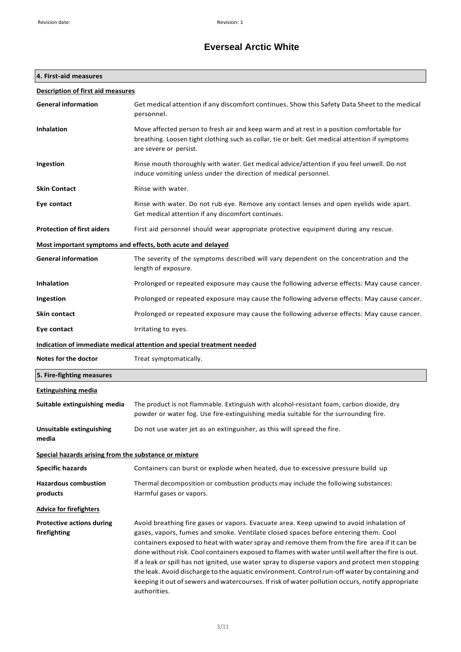# **4. First-aid measures**

| <b>Description of first aid measures</b>              |                                                                                                                                                                                                                                                                                                                                                                                                                                                                                                                                                                                                                                                                                                           |
|-------------------------------------------------------|-----------------------------------------------------------------------------------------------------------------------------------------------------------------------------------------------------------------------------------------------------------------------------------------------------------------------------------------------------------------------------------------------------------------------------------------------------------------------------------------------------------------------------------------------------------------------------------------------------------------------------------------------------------------------------------------------------------|
| <b>General information</b>                            | Get medical attention if any discomfort continues. Show this Safety Data Sheet to the medical<br>personnel.                                                                                                                                                                                                                                                                                                                                                                                                                                                                                                                                                                                               |
| <b>Inhalation</b>                                     | Move affected person to fresh air and keep warm and at rest in a position comfortable for<br>breathing. Loosen tight clothing such as collar, tie or belt. Get medical attention if symptoms<br>are severe or persist.                                                                                                                                                                                                                                                                                                                                                                                                                                                                                    |
| Ingestion                                             | Rinse mouth thoroughly with water. Get medical advice/attention if you feel unwell. Do not<br>induce vomiting unless under the direction of medical personnel.                                                                                                                                                                                                                                                                                                                                                                                                                                                                                                                                            |
| <b>Skin Contact</b>                                   | Rinse with water.                                                                                                                                                                                                                                                                                                                                                                                                                                                                                                                                                                                                                                                                                         |
| Eye contact                                           | Rinse with water. Do not rub eye. Remove any contact lenses and open eyelids wide apart.<br>Get medical attention if any discomfort continues.                                                                                                                                                                                                                                                                                                                                                                                                                                                                                                                                                            |
| <b>Protection of first aiders</b>                     | First aid personnel should wear appropriate protective equipment during any rescue.                                                                                                                                                                                                                                                                                                                                                                                                                                                                                                                                                                                                                       |
|                                                       | Most important symptoms and effects, both acute and delayed                                                                                                                                                                                                                                                                                                                                                                                                                                                                                                                                                                                                                                               |
| <b>General information</b>                            | The severity of the symptoms described will vary dependent on the concentration and the<br>length of exposure.                                                                                                                                                                                                                                                                                                                                                                                                                                                                                                                                                                                            |
| <b>Inhalation</b>                                     | Prolonged or repeated exposure may cause the following adverse effects: May cause cancer.                                                                                                                                                                                                                                                                                                                                                                                                                                                                                                                                                                                                                 |
| Ingestion                                             | Prolonged or repeated exposure may cause the following adverse effects: May cause cancer.                                                                                                                                                                                                                                                                                                                                                                                                                                                                                                                                                                                                                 |
| Skin contact                                          | Prolonged or repeated exposure may cause the following adverse effects: May cause cancer.                                                                                                                                                                                                                                                                                                                                                                                                                                                                                                                                                                                                                 |
| Eye contact                                           | Irritating to eyes.                                                                                                                                                                                                                                                                                                                                                                                                                                                                                                                                                                                                                                                                                       |
|                                                       | Indication of immediate medical attention and special treatment needed                                                                                                                                                                                                                                                                                                                                                                                                                                                                                                                                                                                                                                    |
| Notes for the doctor                                  | Treat symptomatically.                                                                                                                                                                                                                                                                                                                                                                                                                                                                                                                                                                                                                                                                                    |
| 5. Fire-fighting measures                             |                                                                                                                                                                                                                                                                                                                                                                                                                                                                                                                                                                                                                                                                                                           |
| <b>Extinguishing media</b>                            |                                                                                                                                                                                                                                                                                                                                                                                                                                                                                                                                                                                                                                                                                                           |
| Suitable extinguishing media                          | The product is not flammable. Extinguish with alcohol-resistant foam, carbon dioxide, dry<br>powder or water fog. Use fire-extinguishing media suitable for the surrounding fire.                                                                                                                                                                                                                                                                                                                                                                                                                                                                                                                         |
| <b>Unsuitable extinguishing</b><br>media              | Do not use water jet as an extinguisher, as this will spread the fire.                                                                                                                                                                                                                                                                                                                                                                                                                                                                                                                                                                                                                                    |
| Special hazards arising from the substance or mixture |                                                                                                                                                                                                                                                                                                                                                                                                                                                                                                                                                                                                                                                                                                           |
| <b>Specific hazards</b>                               | Containers can burst or explode when heated, due to excessive pressure build up                                                                                                                                                                                                                                                                                                                                                                                                                                                                                                                                                                                                                           |
| <b>Hazardous combustion</b><br>products               | Thermal decomposition or combustion products may include the following substances:<br>Harmful gases or vapors.                                                                                                                                                                                                                                                                                                                                                                                                                                                                                                                                                                                            |
| <b>Advice for firefighters</b>                        |                                                                                                                                                                                                                                                                                                                                                                                                                                                                                                                                                                                                                                                                                                           |
| <b>Protective actions during</b><br>firefighting      | Avoid breathing fire gases or vapors. Evacuate area. Keep upwind to avoid inhalation of<br>gases, vapors, fumes and smoke. Ventilate closed spaces before entering them. Cool<br>containers exposed to heat with water spray and remove them from the fire area if it can be<br>done without risk. Cool containers exposed to flames with water until well after the fire is out.<br>If a leak or spill has not ignited, use water spray to disperse vapors and protect men stopping<br>the leak. Avoid discharge to the aquatic environment. Control run-off water by containing and<br>keeping it out of sewers and watercourses. If risk of water pollution occurs, notify appropriate<br>authorities. |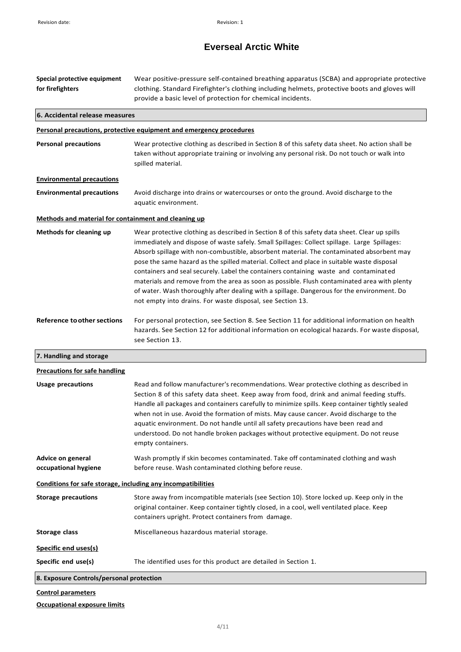| Special protective equipment<br>for firefighters             | Wear positive-pressure self-contained breathing apparatus (SCBA) and appropriate protective<br>clothing. Standard Firefighter's clothing including helmets, protective boots and gloves will<br>provide a basic level of protection for chemical incidents.                                                                                                                                                                                                                                                                                                                                                                                                                                                                                |
|--------------------------------------------------------------|--------------------------------------------------------------------------------------------------------------------------------------------------------------------------------------------------------------------------------------------------------------------------------------------------------------------------------------------------------------------------------------------------------------------------------------------------------------------------------------------------------------------------------------------------------------------------------------------------------------------------------------------------------------------------------------------------------------------------------------------|
| 6. Accidental release measures                               |                                                                                                                                                                                                                                                                                                                                                                                                                                                                                                                                                                                                                                                                                                                                            |
|                                                              | Personal precautions, protective equipment and emergency procedures                                                                                                                                                                                                                                                                                                                                                                                                                                                                                                                                                                                                                                                                        |
| <b>Personal precautions</b>                                  | Wear protective clothing as described in Section 8 of this safety data sheet. No action shall be<br>taken without appropriate training or involving any personal risk. Do not touch or walk into<br>spilled material.                                                                                                                                                                                                                                                                                                                                                                                                                                                                                                                      |
| <b>Environmental precautions</b>                             |                                                                                                                                                                                                                                                                                                                                                                                                                                                                                                                                                                                                                                                                                                                                            |
| <b>Environmental precautions</b>                             | Avoid discharge into drains or watercourses or onto the ground. Avoid discharge to the<br>aquatic environment.                                                                                                                                                                                                                                                                                                                                                                                                                                                                                                                                                                                                                             |
| Methods and material for containment and cleaning up         |                                                                                                                                                                                                                                                                                                                                                                                                                                                                                                                                                                                                                                                                                                                                            |
| <b>Methods for cleaning up</b>                               | Wear protective clothing as described in Section 8 of this safety data sheet. Clear up spills<br>immediately and dispose of waste safely. Small Spillages: Collect spillage. Large Spillages:<br>Absorb spillage with non-combustible, absorbent material. The contaminated absorbent may<br>pose the same hazard as the spilled material. Collect and place in suitable waste disposal<br>containers and seal securely. Label the containers containing waste and contaminated<br>materials and remove from the area as soon as possible. Flush contaminated area with plenty<br>of water. Wash thoroughly after dealing with a spillage. Dangerous for the environment. Do<br>not empty into drains. For waste disposal, see Section 13. |
| <b>Reference to other sections</b>                           | For personal protection, see Section 8. See Section 11 for additional information on health<br>hazards. See Section 12 for additional information on ecological hazards. For waste disposal,<br>see Section 13.                                                                                                                                                                                                                                                                                                                                                                                                                                                                                                                            |
| 7. Handling and storage                                      |                                                                                                                                                                                                                                                                                                                                                                                                                                                                                                                                                                                                                                                                                                                                            |
| <b>Precautions for safe handling</b>                         |                                                                                                                                                                                                                                                                                                                                                                                                                                                                                                                                                                                                                                                                                                                                            |
| <b>Usage precautions</b>                                     | Read and follow manufacturer's recommendations. Wear protective clothing as described in<br>Section 8 of this safety data sheet. Keep away from food, drink and animal feeding stuffs.<br>Handle all packages and containers carefully to minimize spills. Keep container tightly sealed<br>when not in use. Avoid the formation of mists. May cause cancer. Avoid discharge to the<br>aquatic environment. Do not handle until all safety precautions have been read and<br>understood. Do not handle broken packages without protective equipment. Do not reuse<br>empty containers.                                                                                                                                                     |
| Advice on general<br>occupational hygiene                    | Wash promptly if skin becomes contaminated. Take off contaminated clothing and wash<br>before reuse. Wash contaminated clothing before reuse.                                                                                                                                                                                                                                                                                                                                                                                                                                                                                                                                                                                              |
| Conditions for safe storage, including any incompatibilities |                                                                                                                                                                                                                                                                                                                                                                                                                                                                                                                                                                                                                                                                                                                                            |
| <b>Storage precautions</b>                                   | Store away from incompatible materials (see Section 10). Store locked up. Keep only in the<br>original container. Keep container tightly closed, in a cool, well ventilated place. Keep<br>containers upright. Protect containers from damage.                                                                                                                                                                                                                                                                                                                                                                                                                                                                                             |
| <b>Storage class</b>                                         | Miscellaneous hazardous material storage.                                                                                                                                                                                                                                                                                                                                                                                                                                                                                                                                                                                                                                                                                                  |
| <b>Specific end uses(s)</b>                                  |                                                                                                                                                                                                                                                                                                                                                                                                                                                                                                                                                                                                                                                                                                                                            |
| Specific end use(s)                                          | The identified uses for this product are detailed in Section 1.                                                                                                                                                                                                                                                                                                                                                                                                                                                                                                                                                                                                                                                                            |
| 8. Exposure Controls/personal protection                     |                                                                                                                                                                                                                                                                                                                                                                                                                                                                                                                                                                                                                                                                                                                                            |
| <b>Control parameters</b>                                    |                                                                                                                                                                                                                                                                                                                                                                                                                                                                                                                                                                                                                                                                                                                                            |

# **Occupational exposure limits**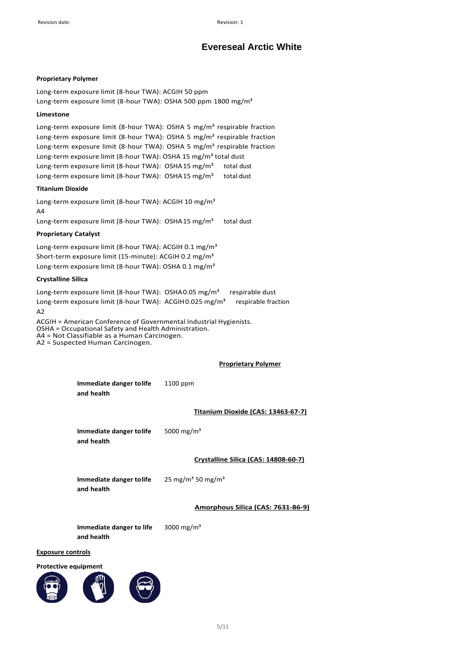# **Proprietary Polymer**

Long-term exposure limit (8-hour TWA): ACGIH 50 ppm Long-term exposure limit (8-hour TWA): OSHA 500 ppm 1800 mg/m<sup>3</sup>

## **Limestone**

Long-term exposure limit (8-hour TWA): OSHA 5 mg/m<sup>3</sup> respirable fraction Long-term exposure limit (8-hour TWA): OSHA 5 mg/m<sup>3</sup> respirable fraction Long-term exposure limit (8-hour TWA): OSHA 5 mg/m<sup>3</sup> respirable fraction Long-term exposure limit (8-hour TWA): OSHA 15 mg/m<sup>3</sup> total dust Long-term exposure limit (8-hour TWA): OSHA15 mg/m<sup>3</sup> total dust Long-term exposure limit (8-hour TWA): OSHA15 mg/m<sup>3</sup> total dust

## **Titanium Dioxide**

Long-term exposure limit (8-hour TWA): ACGIH 10 mg/m<sup>3</sup> A4

Long-term exposure limit (8-hour TWA): OSHA15 mg/m<sup>3</sup> total dust

## **Proprietary Catalyst**

Long-term exposure limit (8-hour TWA): ACGIH 0.1 mg/m<sup>3</sup> Short-term exposure limit (15-minute): ACGIH 0.2 mg/m<sup>3</sup> Long-term exposure limit (8-hour TWA): OSHA 0.1 mg/m<sup>3</sup>

## **Crystalline Silica**

Long-term exposure limit (8-hour TWA): OSHA0.05 mg/m<sup>3</sup> respirable dust Long-term exposure limit (8-hour TWA): ACGIH0.025 mg/m<sup>3</sup> respirable fraction  $A<sub>2</sub>$ 

ACGIH = American Conference of Governmental Industrial Hygienists. OSHA = Occupational Safety and Health Administration. A4 = Not Classifiable as a Human Carcinogen. A2 = Suspected Human Carcinogen.

## **Proprietary Polymer**

| Immediate danger tolife | 1100 ppm |
|-------------------------|----------|
| and health              |          |

## **Titanium Dioxide (CAS: 13463-67-7)**

**Immediate danger tolife and health** 5000 mg/m³

**Crystalline Silica (CAS: 14808-60-7)**

**Immediate danger tolife and health** 25 mg/m<sup>3</sup> 50 mg/m<sup>3</sup>

## **Amorphous Silica (CAS: 7631-86-9)**

**Immediate danger to life and health** 3000 mg/ $m^3$ 

#### **Exposure controls**

#### **Protective equipment**

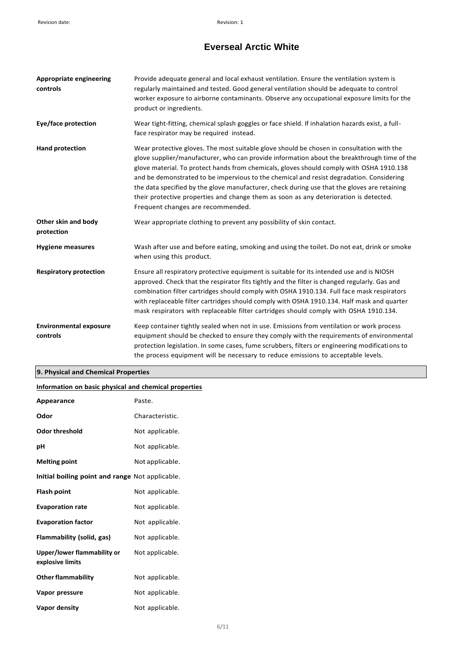| <b>Appropriate engineering</b><br>controls | Provide adequate general and local exhaust ventilation. Ensure the ventilation system is<br>regularly maintained and tested. Good general ventilation should be adequate to control<br>worker exposure to airborne contaminants. Observe any occupational exposure limits for the<br>product or ingredients.                                                                                                                                                                                                                                                                                                   |
|--------------------------------------------|----------------------------------------------------------------------------------------------------------------------------------------------------------------------------------------------------------------------------------------------------------------------------------------------------------------------------------------------------------------------------------------------------------------------------------------------------------------------------------------------------------------------------------------------------------------------------------------------------------------|
| <b>Eye/face protection</b>                 | Wear tight-fitting, chemical splash goggles or face shield. If inhalation hazards exist, a full-<br>face respirator may be required instead.                                                                                                                                                                                                                                                                                                                                                                                                                                                                   |
| <b>Hand protection</b>                     | Wear protective gloves. The most suitable glove should be chosen in consultation with the<br>glove supplier/manufacturer, who can provide information about the breakthrough time of the<br>glove material. To protect hands from chemicals, gloves should comply with OSHA 1910.138<br>and be demonstrated to be impervious to the chemical and resist degradation. Considering<br>the data specified by the glove manufacturer, check during use that the gloves are retaining<br>their protective properties and change them as soon as any deterioration is detected.<br>Frequent changes are recommended. |
| Other skin and body<br>protection          | Wear appropriate clothing to prevent any possibility of skin contact.                                                                                                                                                                                                                                                                                                                                                                                                                                                                                                                                          |
| <b>Hygiene measures</b>                    | Wash after use and before eating, smoking and using the toilet. Do not eat, drink or smoke<br>when using this product.                                                                                                                                                                                                                                                                                                                                                                                                                                                                                         |
| <b>Respiratory protection</b>              | Ensure all respiratory protective equipment is suitable for its intended use and is NIOSH<br>approved. Check that the respirator fits tightly and the filter is changed regularly. Gas and<br>combination filter cartridges should comply with OSHA 1910.134. Full face mask respirators<br>with replaceable filter cartridges should comply with OSHA 1910.134. Half mask and quarter<br>mask respirators with replaceable filter cartridges should comply with OSHA 1910.134.                                                                                                                                |
| <b>Environmental exposure</b><br>controls  | Keep container tightly sealed when not in use. Emissions from ventilation or work process<br>equipment should be checked to ensure they comply with the requirements of environmental<br>protection legislation. In some cases, fume scrubbers, filters or engineering modifications to<br>the process equipment will be necessary to reduce emissions to acceptable levels.                                                                                                                                                                                                                                   |

# **9. Physical and Chemical Properties**

# **Information on basic physical and chemical properties**

| Appearance                                      | Paste.          |
|-------------------------------------------------|-----------------|
| Odor                                            | Characteristic. |
| <b>Odor threshold</b>                           | Not applicable. |
| рH                                              | Not applicable. |
| <b>Melting point</b>                            | Not applicable. |
| Initial boiling point and range Not applicable. |                 |
| <b>Flash point</b>                              | Not applicable. |
| <b>Evaporation rate</b>                         | Not applicable. |
| <b>Evaporation factor</b>                       | Not applicable. |
| Flammability (solid, gas)                       | Not applicable. |
| Upper/lower flammability or<br>explosive limits | Not applicable. |
| <b>Other flammability</b>                       | Not applicable. |
| Vapor pressure                                  | Not applicable. |
| Vapor density                                   | Not applicable. |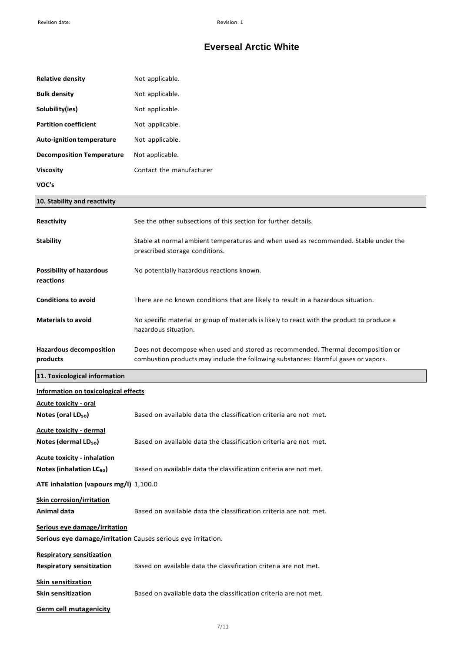| <b>Relative density</b>                                                                       | Not applicable.                                                                                                                                                        |
|-----------------------------------------------------------------------------------------------|------------------------------------------------------------------------------------------------------------------------------------------------------------------------|
| <b>Bulk density</b>                                                                           | Not applicable.                                                                                                                                                        |
| Solubility(ies)                                                                               | Not applicable.                                                                                                                                                        |
| <b>Partition coefficient</b>                                                                  | Not applicable.                                                                                                                                                        |
| Auto-ignition temperature                                                                     | Not applicable.                                                                                                                                                        |
| <b>Decomposition Temperature</b>                                                              | Not applicable.                                                                                                                                                        |
| <b>Viscosity</b>                                                                              | Contact the manufacturer                                                                                                                                               |
| VOC's                                                                                         |                                                                                                                                                                        |
| 10. Stability and reactivity                                                                  |                                                                                                                                                                        |
| Reactivity                                                                                    | See the other subsections of this section for further details.                                                                                                         |
| <b>Stability</b>                                                                              | Stable at normal ambient temperatures and when used as recommended. Stable under the<br>prescribed storage conditions.                                                 |
| <b>Possibility of hazardous</b><br>reactions                                                  | No potentially hazardous reactions known.                                                                                                                              |
| <b>Conditions to avoid</b>                                                                    | There are no known conditions that are likely to result in a hazardous situation.                                                                                      |
| <b>Materials to avoid</b>                                                                     | No specific material or group of materials is likely to react with the product to produce a<br>hazardous situation.                                                    |
| <b>Hazardous decomposition</b><br>products                                                    | Does not decompose when used and stored as recommended. Thermal decomposition or<br>combustion products may include the following substances: Harmful gases or vapors. |
| 11. Toxicological information                                                                 |                                                                                                                                                                        |
| Information on toxicological effects                                                          |                                                                                                                                                                        |
|                                                                                               |                                                                                                                                                                        |
| <b>Acute toxicity - oral</b><br>Notes (oral LD <sub>50</sub> )                                | Based on available data the classification criteria are not met.                                                                                                       |
| Acute toxicity - dermal<br>Notes (dermal LD <sub>50</sub> )                                   | Based on available data the classification criteria are not met.                                                                                                       |
| <b>Acute toxicity - inhalation</b><br>Notes (inhalation LC <sub>50</sub> )                    | Based on available data the classification criteria are not met.                                                                                                       |
| ATE inhalation (vapours mg/l) 1,100.0                                                         |                                                                                                                                                                        |
| <b>Skin corrosion/irritation</b><br>Animal data                                               | Based on available data the classification criteria are not met.                                                                                                       |
| Serious eye damage/irritation<br>Serious eye damage/irritation Causes serious eye irritation. |                                                                                                                                                                        |
| <b>Respiratory sensitization</b><br><b>Respiratory sensitization</b>                          | Based on available data the classification criteria are not met.                                                                                                       |
| <b>Skin sensitization</b><br><b>Skin sensitization</b>                                        | Based on available data the classification criteria are not met.                                                                                                       |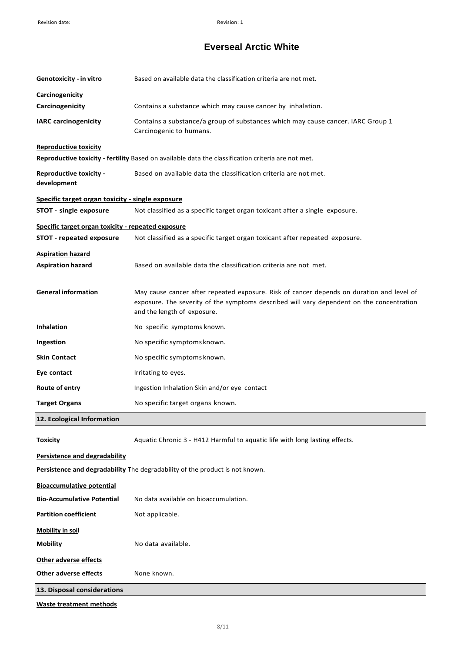| Genotoxicity - in vitro                                                      | Based on available data the classification criteria are not met.                                                                                                                                                      |  |
|------------------------------------------------------------------------------|-----------------------------------------------------------------------------------------------------------------------------------------------------------------------------------------------------------------------|--|
| <b>Carcinogenicity</b><br>Carcinogenicity                                    | Contains a substance which may cause cancer by inhalation.                                                                                                                                                            |  |
| <b>IARC carcinogenicity</b>                                                  | Contains a substance/a group of substances which may cause cancer. IARC Group 1<br>Carcinogenic to humans.                                                                                                            |  |
| <b>Reproductive toxicity</b>                                                 |                                                                                                                                                                                                                       |  |
|                                                                              | Reproductive toxicity - fertility Based on available data the classification criteria are not met.                                                                                                                    |  |
| <b>Reproductive toxicity -</b><br>development                                | Based on available data the classification criteria are not met.                                                                                                                                                      |  |
| Specific target organ toxicity - single exposure                             |                                                                                                                                                                                                                       |  |
| STOT - single exposure                                                       | Not classified as a specific target organ toxicant after a single exposure.                                                                                                                                           |  |
| Specific target organ toxicity - repeated exposure                           |                                                                                                                                                                                                                       |  |
| STOT - repeated exposure                                                     | Not classified as a specific target organ toxicant after repeated exposure.                                                                                                                                           |  |
| <b>Aspiration hazard</b><br><b>Aspiration hazard</b>                         | Based on available data the classification criteria are not met.                                                                                                                                                      |  |
| <b>General information</b>                                                   | May cause cancer after repeated exposure. Risk of cancer depends on duration and level of<br>exposure. The severity of the symptoms described will vary dependent on the concentration<br>and the length of exposure. |  |
| <b>Inhalation</b>                                                            | No specific symptoms known.                                                                                                                                                                                           |  |
| Ingestion                                                                    | No specific symptoms known.                                                                                                                                                                                           |  |
| <b>Skin Contact</b>                                                          | No specific symptoms known.                                                                                                                                                                                           |  |
| Eye contact                                                                  | Irritating to eyes.                                                                                                                                                                                                   |  |
| Route of entry                                                               | Ingestion Inhalation Skin and/or eye contact                                                                                                                                                                          |  |
| <b>Target Organs</b>                                                         | No specific target organs known.                                                                                                                                                                                      |  |
| 12. Ecological Information                                                   |                                                                                                                                                                                                                       |  |
| <b>Toxicity</b>                                                              | Aquatic Chronic 3 - H412 Harmful to aquatic life with long lasting effects.                                                                                                                                           |  |
| Persistence and degradability                                                |                                                                                                                                                                                                                       |  |
| Persistence and degradability The degradability of the product is not known. |                                                                                                                                                                                                                       |  |
| <b>Bioaccumulative potential</b>                                             |                                                                                                                                                                                                                       |  |
| <b>Bio-Accumulative Potential</b>                                            | No data available on bioaccumulation.                                                                                                                                                                                 |  |
| <b>Partition coefficient</b>                                                 | Not applicable.                                                                                                                                                                                                       |  |
| <b>Mobility in soil</b>                                                      |                                                                                                                                                                                                                       |  |
| <b>Mobility</b>                                                              | No data available.                                                                                                                                                                                                    |  |
| Other adverse effects                                                        |                                                                                                                                                                                                                       |  |
| <b>Other adverse effects</b>                                                 | None known.                                                                                                                                                                                                           |  |
| 13. Disposal considerations                                                  |                                                                                                                                                                                                                       |  |

**Waste treatment methods**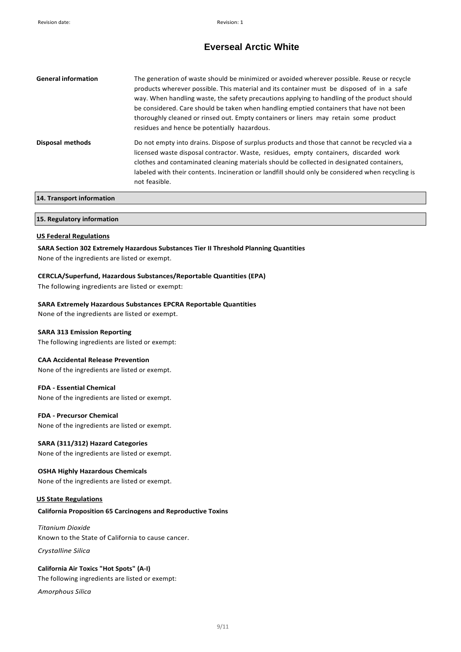| <b>General information</b> | The generation of waste should be minimized or avoided wherever possible. Reuse or recycle<br>products wherever possible. This material and its container must be disposed of in a safe<br>way. When handling waste, the safety precautions applying to handling of the product should<br>be considered. Care should be taken when handling emptied containers that have not been<br>thoroughly cleaned or rinsed out. Empty containers or liners may retain some product<br>residues and hence be potentially hazardous. |
|----------------------------|---------------------------------------------------------------------------------------------------------------------------------------------------------------------------------------------------------------------------------------------------------------------------------------------------------------------------------------------------------------------------------------------------------------------------------------------------------------------------------------------------------------------------|
| Disposal methods           | Do not empty into drains. Dispose of surplus products and those that cannot be recycled via a<br>licensed waste disposal contractor. Waste, residues, empty containers, discarded work<br>clothes and contaminated cleaning materials should be collected in designated containers,<br>labeled with their contents. Incineration or landfill should only be considered when recycling is<br>not feasible.                                                                                                                 |
| 14. Transport information  |                                                                                                                                                                                                                                                                                                                                                                                                                                                                                                                           |

# **15. Regulatory information**

#### **US Federal Regulations**

**SARA Section 302 Extremely Hazardous Substances Tier II Threshold Planning Quantities**  None of the ingredients are listed or exempt.

## **CERCLA/Superfund, Hazardous Substances/Reportable Quantities (EPA)**

The following ingredients are listed or exempt:

#### **SARA Extremely Hazardous Substances EPCRA Reportable Quantities**

None of the ingredients are listed or exempt.

#### **SARA 313 Emission Reporting**

The following ingredients are listed or exempt:

## **CAA Accidental Release Prevention**

None of the ingredients are listed or exempt.

#### **FDA - Essential Chemical**

None of the ingredients are listed or exempt.

## **FDA - Precursor Chemical**

None of the ingredients are listed or exempt.

### **SARA (311/312) Hazard Categories**

None of the ingredients are listed or exempt.

## **OSHA Highly Hazardous Chemicals**

None of the ingredients are listed or exempt.

#### **US State Regulations**

### **California Proposition 65 Carcinogens and Reproductive Toxins**

# *Titanium Dioxide* Known to the State of California to cause cancer.

*Crystalline Silica*

# **California Air Toxics "Hot Spots" (A-I)**

The following ingredients are listed or exempt:

*Amorphous Silica*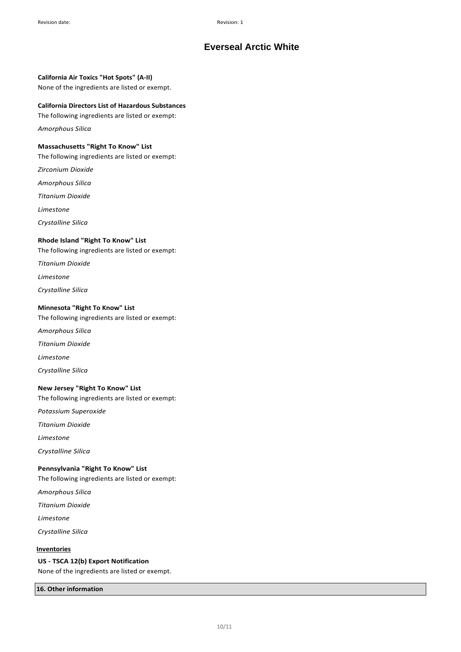## **California Air Toxics "Hot Spots" (A-II)**

None of the ingredients are listed or exempt.

### **California Directors List of Hazardous Substances**

The following ingredients are listed or exempt:

*Amorphous Silica*

# **Massachusetts "Right To Know" List**

The following ingredients are listed or exempt:

*Zirconium Dioxide* 

*Amorphous Silica* 

*Titanium Dioxide* 

*Limestone* 

*Crystalline Silica*

## **Rhode Island "Right To Know" List**

The following ingredients are listed or exempt:

*Titanium Dioxide* 

*Limestone* 

*Crystalline Silica*

### **Minnesota "Right To Know" List**

The following ingredients are listed or exempt:

*Amorphous Silica* 

*Titanium Dioxide* 

*Limestone* 

*Crystalline Silica*

## **New Jersey "Right To Know" List**

The following ingredients are listed or exempt:

*Potassium Superoxide* 

*Titanium Dioxide* 

*Limestone*

*Crystalline Silica*

# **Pennsylvania "Right To Know" List**

The following ingredients are listed or exempt:

*Amorphous Silica* 

*Titanium Dioxide* 

*Limestone* 

*Crystalline Silica*

# **Inventories**

### **US - TSCA 12(b) Export Notification**

None of the ingredients are listed or exempt.

# **16. Other information**